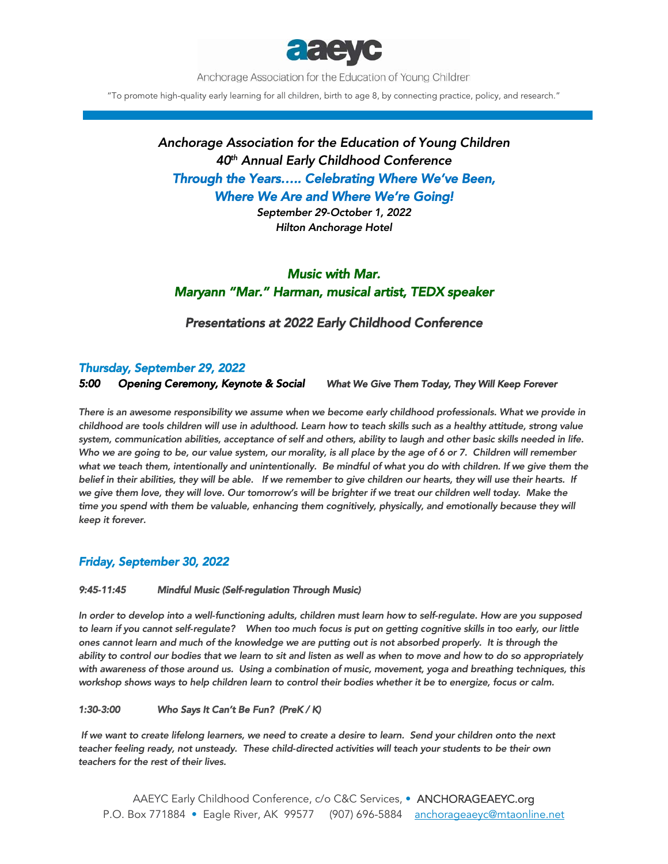

Anchorage Association for the Education of Young Children

"To promote high-quality early learning for all children, birth to age 8, by connecting practice, policy, and research."

# *Anchorage Association for the Education of Young Children 40th Annual Early Childhood Conference Through the Years….. Celebrating Where We've Been, Where We Are and Where We're Going!*

*September 29-October 1, 2022 Hilton Anchorage Hotel* 

## *Music with Mar. Maryann "Mar." Harman, musical artist, TEDX speaker*

### *Presentations at 2022 Early Childhood Conference*

### *Thursday, September 29, 2022*

*5:00 Opening Ceremony, Keynote & Social What We Give Them Today, They Will Keep Forever* 

*There is an awesome responsibility we assume when we become early childhood professionals. What we provide in childhood are tools children will use in adulthood. Learn how to teach skills such as a healthy attitude, strong value system, communication abilities, acceptance of self and others, ability to laugh and other basic skills needed in life. Who we are going to be, our value system, our morality, is all place by the age of 6 or 7. Children will remember*  what we teach them, intentionally and unintentionally. Be mindful of what you do with children. If we give them the *belief in their abilities, they will be able. If we remember to give children our hearts, they will use their hearts. If*  we give them love, they will love. Our tomorrow's will be brighter if we treat our children well today. Make the time you spend with them be valuable, enhancing them cognitively, physically, and emotionally because they will *keep it forever.* 

## *Friday, September 30, 2022*

#### *9:45-11:45 Mindful Music (Self-regulation Through Music)*

*In order to develop into a well-functioning adults, children must learn how to self-regulate. How are you supposed to learn if you cannot self-regulate? When too much focus is put on getting cognitive skills in too early, our little ones cannot learn and much of the knowledge we are putting out is not absorbed properly. It is through the ability to control our bodies that we learn to sit and listen as well as when to move and how to do so appropriately with awareness of those around us. Using a combination of music, movement, yoga and breathing techniques, this*  workshop shows ways to help children learn to control their bodies whether it be to energize, focus or calm.

#### *1:30-3:00 Who Says It Can't Be Fun? (PreK / K)*

 *If we want to create lifelong learners, we need to create a desire to learn. Send your children onto the next teacher feeling ready, not unsteady. These child-directed activities will teach your students to be their own teachers for the rest of their lives.*